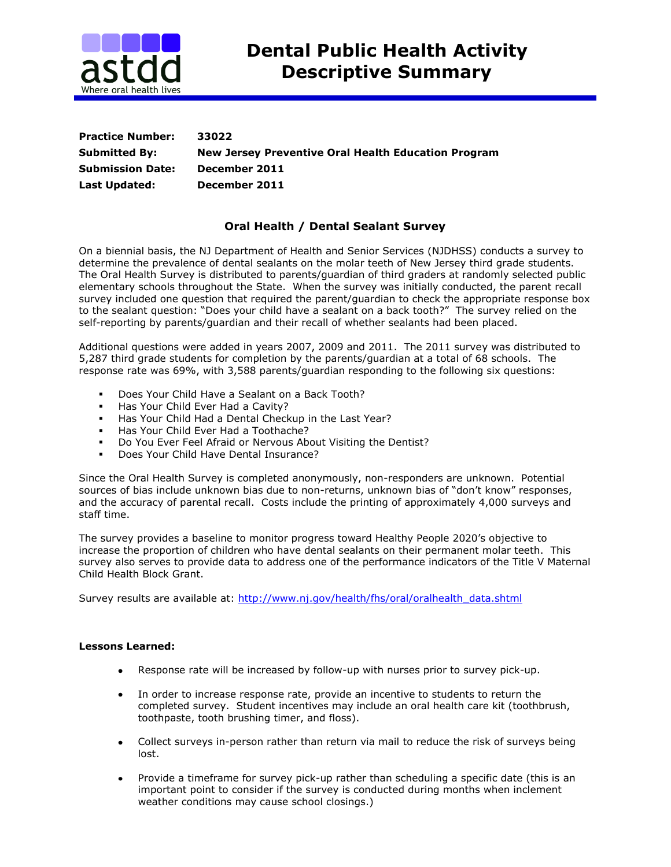

| <b>Practice Number:</b> | 33022                                               |
|-------------------------|-----------------------------------------------------|
| <b>Submitted By:</b>    | New Jersey Preventive Oral Health Education Program |
| <b>Submission Date:</b> | December 2011                                       |
| <b>Last Updated:</b>    | December 2011                                       |

## **Oral Health / Dental Sealant Survey**

On a biennial basis, the NJ Department of Health and Senior Services (NJDHSS) conducts a survey to determine the prevalence of dental sealants on the molar teeth of New Jersey third grade students. The Oral Health Survey is distributed to parents/guardian of third graders at randomly selected public elementary schools throughout the State. When the survey was initially conducted, the parent recall survey included one question that required the parent/guardian to check the appropriate response box to the sealant question: "Does your child have a sealant on a back tooth?" The survey relied on the self-reporting by parents/guardian and their recall of whether sealants had been placed.

Additional questions were added in years 2007, 2009 and 2011. The 2011 survey was distributed to 5,287 third grade students for completion by the parents/guardian at a total of 68 schools. The response rate was 69%, with 3,588 parents/guardian responding to the following six questions:

- **Does Your Child Have a Sealant on a Back Tooth?**
- **Has Your Child Ever Had a Cavity?**
- Has Your Child Had a Dental Checkup in the Last Year?
- **Has Your Child Ever Had a Toothache?**
- Do You Ever Feel Afraid or Nervous About Visiting the Dentist?
- Does Your Child Have Dental Insurance?

Since the Oral Health Survey is completed anonymously, non-responders are unknown. Potential sources of bias include unknown bias due to non-returns, unknown bias of "don't know" responses, and the accuracy of parental recall. Costs include the printing of approximately 4,000 surveys and staff time.

The survey provides a baseline to monitor progress toward Healthy People 2020's objective to increase the proportion of children who have dental sealants on their permanent molar teeth. This survey also serves to provide data to address one of the performance indicators of the Title V Maternal Child Health Block Grant.

Survey results are available at: [http://www.nj.gov/health/fhs/oral/oralhealth\\_data.shtml](http://www.nj.gov/health/fhs/oral/oralhealth_data.shtml)

## **Lessons Learned:**

- Response rate will be increased by follow-up with nurses prior to survey pick-up.
- In order to increase response rate, provide an incentive to students to return the  $\bullet$ completed survey. Student incentives may include an oral health care kit (toothbrush, toothpaste, tooth brushing timer, and floss).
- Collect surveys in-person rather than return via mail to reduce the risk of surveys being  $\bullet$ lost.
- Provide a timeframe for survey pick-up rather than scheduling a specific date (this is an important point to consider if the survey is conducted during months when inclement weather conditions may cause school closings.)